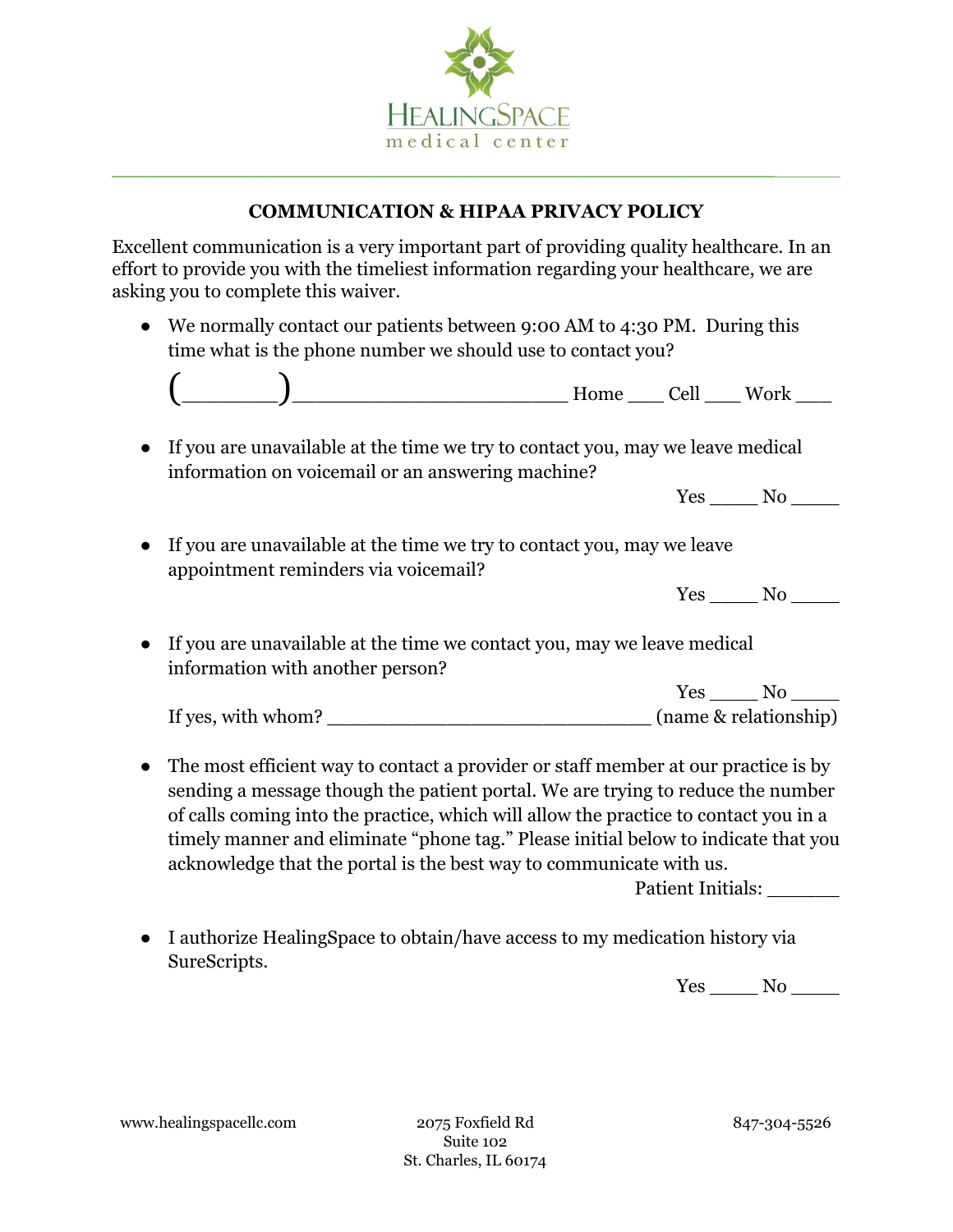

## **COMMUNICATION & HIPAA PRIVACY POLICY**

Excellent communication is a very important part of providing quality healthcare. In an effort to provide you with the timeliest information regarding your healthcare, we are asking you to complete this waiver.

• We normally contact our patients between 9:00 AM to 4:30 PM. During this time what is the phone number we should use to contact you?



● If you are unavailable at the time we try to contact you, may we leave medical information on voicemail or an answering machine?

Yes No

● If you are unavailable at the time we try to contact you, may we leave appointment reminders via voicemail?

| $-$<br>$\sim$ | . . |
|---------------|-----|
|---------------|-----|

● If you are unavailable at the time we contact you, may we leave medical information with another person?

|                    | Yes                   |
|--------------------|-----------------------|
| If yes, with whom? | (name & relationship) |

• The most efficient way to contact a provider or staff member at our practice is by sending a message though the patient portal. We are trying to reduce the number of calls coming into the practice, which will allow the practice to contact you in a timely manner and eliminate "phone tag." Please initial below to indicate that you acknowledge that the portal is the best way to communicate with us.

Patient Initials:

● I authorize HealingSpace to obtain/have access to my medication history via SureScripts.

Yes No

www.healingspacellc.com 2075 Foxfield Rd